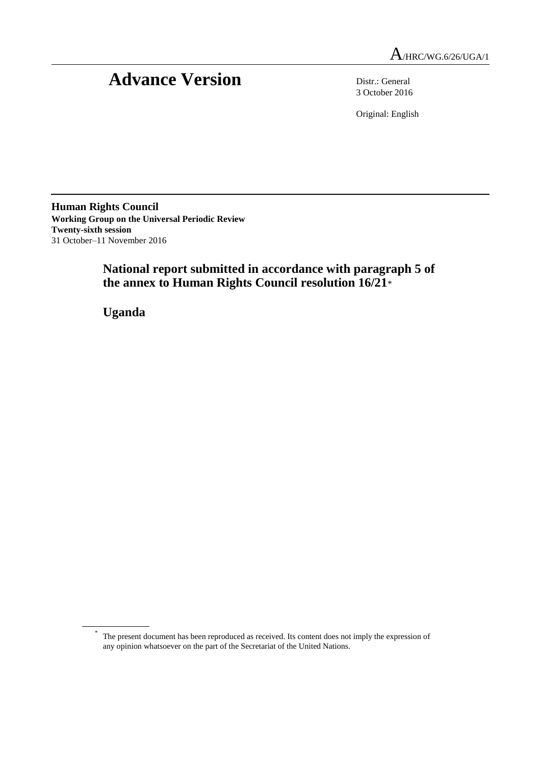# Advance Version Distr.: General

3 October 2016

Original: English

**Human Rights Council Working Group on the Universal Periodic Review Twenty-sixth session** 31 October–11 November 2016

> **National report submitted in accordance with paragraph 5 of the annex to Human Rights Council resolution 16/21**\*

**Uganda**

<sup>\*</sup> The present document has been reproduced as received. Its content does not imply the expression of any opinion whatsoever on the part of the Secretariat of the United Nations.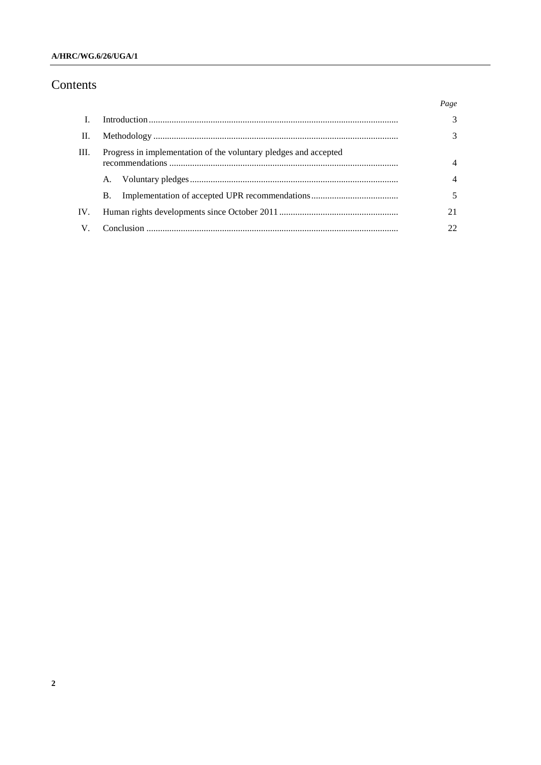# A/HRC/WG.6/26/UGA/1

# Contents

|     |                                                                  | Page           |
|-----|------------------------------------------------------------------|----------------|
|     |                                                                  | 3              |
| Ш.  |                                                                  | 3              |
| Ш.  | Progress in implementation of the voluntary pledges and accepted |                |
|     | A.                                                               | $\overline{4}$ |
|     | <b>B.</b>                                                        |                |
| IV. |                                                                  | 21             |
| V.  |                                                                  |                |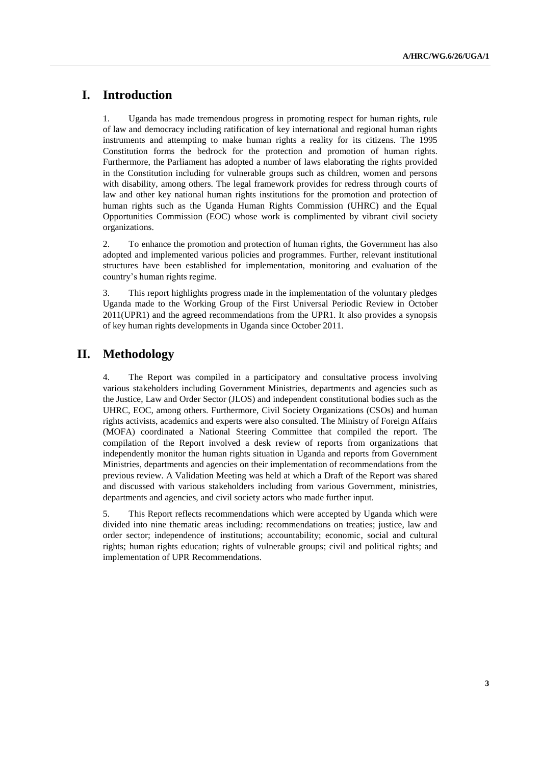# **I. Introduction**

1. Uganda has made tremendous progress in promoting respect for human rights, rule of law and democracy including ratification of key international and regional human rights instruments and attempting to make human rights a reality for its citizens. The 1995 Constitution forms the bedrock for the protection and promotion of human rights. Furthermore, the Parliament has adopted a number of laws elaborating the rights provided in the Constitution including for vulnerable groups such as children, women and persons with disability, among others. The legal framework provides for redress through courts of law and other key national human rights institutions for the promotion and protection of human rights such as the Uganda Human Rights Commission (UHRC) and the Equal Opportunities Commission (EOC) whose work is complimented by vibrant civil society organizations.

2. To enhance the promotion and protection of human rights, the Government has also adopted and implemented various policies and programmes. Further, relevant institutional structures have been established for implementation, monitoring and evaluation of the country's human rights regime.

3. This report highlights progress made in the implementation of the voluntary pledges Uganda made to the Working Group of the First Universal Periodic Review in October 2011(UPR1) and the agreed recommendations from the UPR1. It also provides a synopsis of key human rights developments in Uganda since October 2011.

# **II. Methodology**

4. The Report was compiled in a participatory and consultative process involving various stakeholders including Government Ministries, departments and agencies such as the Justice, Law and Order Sector (JLOS) and independent constitutional bodies such as the UHRC, EOC, among others. Furthermore, Civil Society Organizations (CSOs) and human rights activists, academics and experts were also consulted. The Ministry of Foreign Affairs (MOFA) coordinated a National Steering Committee that compiled the report. The compilation of the Report involved a desk review of reports from organizations that independently monitor the human rights situation in Uganda and reports from Government Ministries, departments and agencies on their implementation of recommendations from the previous review. A Validation Meeting was held at which a Draft of the Report was shared and discussed with various stakeholders including from various Government, ministries, departments and agencies, and civil society actors who made further input.

5. This Report reflects recommendations which were accepted by Uganda which were divided into nine thematic areas including: recommendations on treaties; justice, law and order sector; independence of institutions; accountability; economic, social and cultural rights; human rights education; rights of vulnerable groups; civil and political rights; and implementation of UPR Recommendations.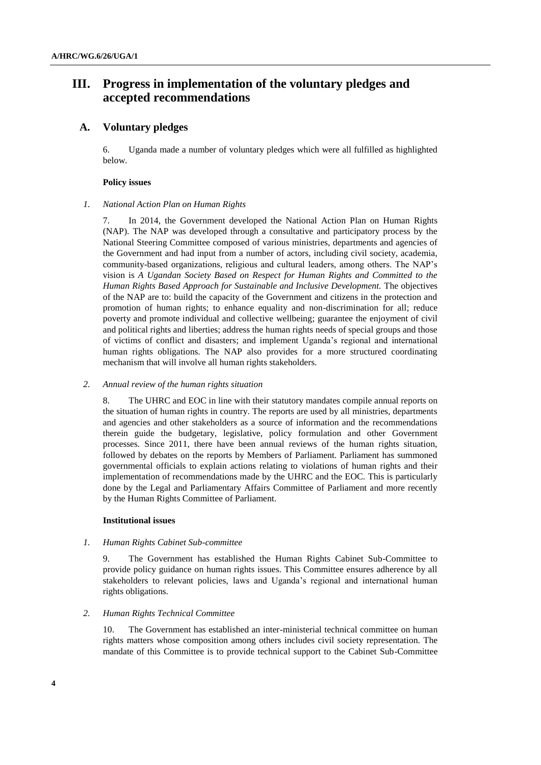# **III. Progress in implementation of the voluntary pledges and accepted recommendations**

# **A. Voluntary pledges**

6. Uganda made a number of voluntary pledges which were all fulfilled as highlighted below.

#### **Policy issues**

#### *1. National Action Plan on Human Rights*

7. In 2014, the Government developed the National Action Plan on Human Rights (NAP). The NAP was developed through a consultative and participatory process by the National Steering Committee composed of various ministries, departments and agencies of the Government and had input from a number of actors, including civil society, academia, community-based organizations, religious and cultural leaders, among others. The NAP's vision is *A Ugandan Society Based on Respect for Human Rights and Committed to the Human Rights Based Approach for Sustainable and Inclusive Development.* The objectives of the NAP are to: build the capacity of the Government and citizens in the protection and promotion of human rights; to enhance equality and non-discrimination for all; reduce poverty and promote individual and collective wellbeing; guarantee the enjoyment of civil and political rights and liberties; address the human rights needs of special groups and those of victims of conflict and disasters; and implement Uganda's regional and international human rights obligations. The NAP also provides for a more structured coordinating mechanism that will involve all human rights stakeholders.

#### *2. Annual review of the human rights situation*

8. The UHRC and EOC in line with their statutory mandates compile annual reports on the situation of human rights in country. The reports are used by all ministries, departments and agencies and other stakeholders as a source of information and the recommendations therein guide the budgetary, legislative, policy formulation and other Government processes. Since 2011, there have been annual reviews of the human rights situation, followed by debates on the reports by Members of Parliament. Parliament has summoned governmental officials to explain actions relating to violations of human rights and their implementation of recommendations made by the UHRC and the EOC. This is particularly done by the Legal and Parliamentary Affairs Committee of Parliament and more recently by the Human Rights Committee of Parliament.

#### **Institutional issues**

#### *1. Human Rights Cabinet Sub-committee*

9. The Government has established the Human Rights Cabinet Sub-Committee to provide policy guidance on human rights issues. This Committee ensures adherence by all stakeholders to relevant policies, laws and Uganda's regional and international human rights obligations.

#### *2. Human Rights Technical Committee*

The Government has established an inter-ministerial technical committee on human rights matters whose composition among others includes civil society representation. The mandate of this Committee is to provide technical support to the Cabinet Sub-Committee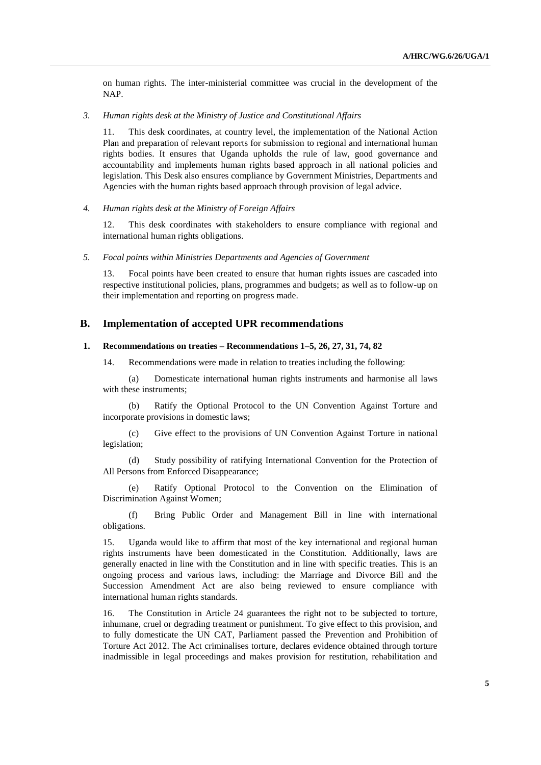on human rights. The inter-ministerial committee was crucial in the development of the NAP.

### *3. Human rights desk at the Ministry of Justice and Constitutional Affairs*

11. This desk coordinates, at country level, the implementation of the National Action Plan and preparation of relevant reports for submission to regional and international human rights bodies. It ensures that Uganda upholds the rule of law, good governance and accountability and implements human rights based approach in all national policies and legislation. This Desk also ensures compliance by Government Ministries, Departments and Agencies with the human rights based approach through provision of legal advice.

*4. Human rights desk at the Ministry of Foreign Affairs* 

12. This desk coordinates with stakeholders to ensure compliance with regional and international human rights obligations.

*5. Focal points within Ministries Departments and Agencies of Government*

13. Focal points have been created to ensure that human rights issues are cascaded into respective institutional policies, plans, programmes and budgets; as well as to follow-up on their implementation and reporting on progress made.

## **B. Implementation of accepted UPR recommendations**

#### **1. Recommendations on treaties – Recommendations 1–5, 26, 27, 31, 74, 82**

14. Recommendations were made in relation to treaties including the following:

(a) Domesticate international human rights instruments and harmonise all laws with these instruments;

(b) Ratify the Optional Protocol to the UN Convention Against Torture and incorporate provisions in domestic laws;

(c) Give effect to the provisions of UN Convention Against Torture in national legislation;

(d) Study possibility of ratifying International Convention for the Protection of All Persons from Enforced Disappearance;

(e) Ratify Optional Protocol to the Convention on the Elimination of Discrimination Against Women;

(f) Bring Public Order and Management Bill in line with international obligations.

15. Uganda would like to affirm that most of the key international and regional human rights instruments have been domesticated in the Constitution. Additionally, laws are generally enacted in line with the Constitution and in line with specific treaties. This is an ongoing process and various laws, including: the Marriage and Divorce Bill and the Succession Amendment Act are also being reviewed to ensure compliance with international human rights standards.

16. The Constitution in Article 24 guarantees the right not to be subjected to torture, inhumane, cruel or degrading treatment or punishment. To give effect to this provision, and to fully domesticate the UN CAT, Parliament passed the Prevention and Prohibition of Torture Act 2012. The Act criminalises torture, declares evidence obtained through torture inadmissible in legal proceedings and makes provision for restitution, rehabilitation and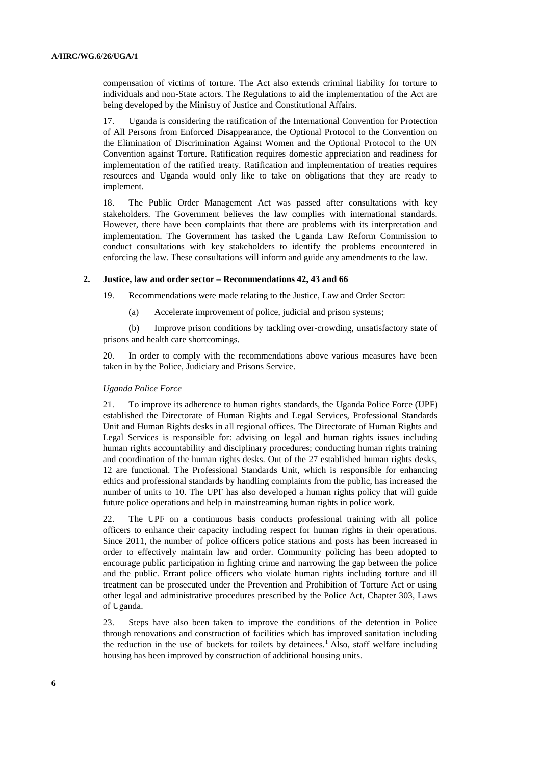compensation of victims of torture. The Act also extends criminal liability for torture to individuals and non-State actors. The Regulations to aid the implementation of the Act are being developed by the Ministry of Justice and Constitutional Affairs.

17. Uganda is considering the ratification of the International Convention for Protection of All Persons from Enforced Disappearance, the Optional Protocol to the Convention on the Elimination of Discrimination Against Women and the Optional Protocol to the UN Convention against Torture. Ratification requires domestic appreciation and readiness for implementation of the ratified treaty. Ratification and implementation of treaties requires resources and Uganda would only like to take on obligations that they are ready to implement.

18. The Public Order Management Act was passed after consultations with key stakeholders. The Government believes the law complies with international standards. However, there have been complaints that there are problems with its interpretation and implementation. The Government has tasked the Uganda Law Reform Commission to conduct consultations with key stakeholders to identify the problems encountered in enforcing the law. These consultations will inform and guide any amendments to the law.

#### **2. Justice, law and order sector – Recommendations 42, 43 and 66**

19. Recommendations were made relating to the Justice, Law and Order Sector:

(a) Accelerate improvement of police, judicial and prison systems;

(b) Improve prison conditions by tackling over-crowding, unsatisfactory state of prisons and health care shortcomings.

20. In order to comply with the recommendations above various measures have been taken in by the Police, Judiciary and Prisons Service.

#### *Uganda Police Force*

21. To improve its adherence to human rights standards, the Uganda Police Force (UPF) established the Directorate of Human Rights and Legal Services, Professional Standards Unit and Human Rights desks in all regional offices. The Directorate of Human Rights and Legal Services is responsible for: advising on legal and human rights issues including human rights accountability and disciplinary procedures; conducting human rights training and coordination of the human rights desks. Out of the 27 established human rights desks, 12 are functional. The Professional Standards Unit, which is responsible for enhancing ethics and professional standards by handling complaints from the public, has increased the number of units to 10. The UPF has also developed a human rights policy that will guide future police operations and help in mainstreaming human rights in police work.

22. The UPF on a continuous basis conducts professional training with all police officers to enhance their capacity including respect for human rights in their operations. Since 2011, the number of police officers police stations and posts has been increased in order to effectively maintain law and order. Community policing has been adopted to encourage public participation in fighting crime and narrowing the gap between the police and the public. Errant police officers who violate human rights including torture and ill treatment can be prosecuted under the Prevention and Prohibition of Torture Act or using other legal and administrative procedures prescribed by the Police Act, Chapter 303, Laws of Uganda.

23. Steps have also been taken to improve the conditions of the detention in Police through renovations and construction of facilities which has improved sanitation including the reduction in the use of buckets for toilets by detainees.<sup>1</sup> Also, staff welfare including housing has been improved by construction of additional housing units.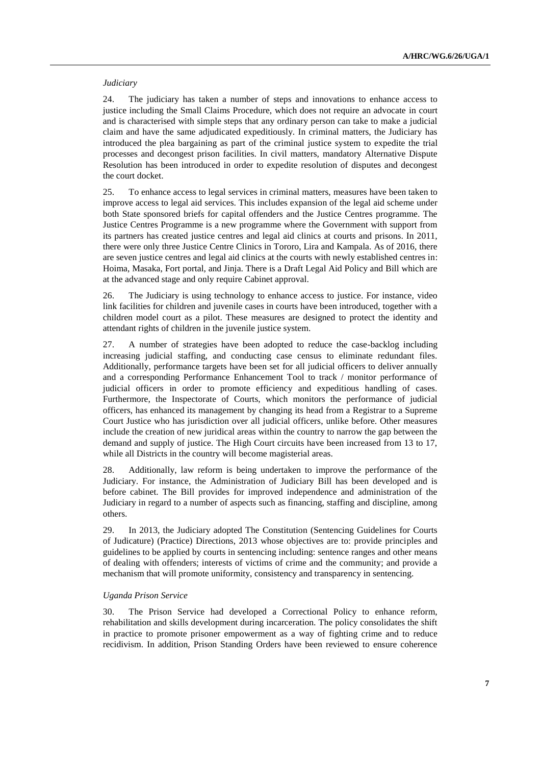### *Judiciary*

24. The judiciary has taken a number of steps and innovations to enhance access to justice including the Small Claims Procedure, which does not require an advocate in court and is characterised with simple steps that any ordinary person can take to make a judicial claim and have the same adjudicated expeditiously. In criminal matters, the Judiciary has introduced the plea bargaining as part of the criminal justice system to expedite the trial processes and decongest prison facilities. In civil matters, mandatory Alternative Dispute Resolution has been introduced in order to expedite resolution of disputes and decongest the court docket.

25. To enhance access to legal services in criminal matters, measures have been taken to improve access to legal aid services. This includes expansion of the legal aid scheme under both State sponsored briefs for capital offenders and the Justice Centres programme. The Justice Centres Programme is a new programme where the Government with support from its partners has created justice centres and legal aid clinics at courts and prisons. In 2011, there were only three Justice Centre Clinics in Tororo, Lira and Kampala. As of 2016, there are seven justice centres and legal aid clinics at the courts with newly established centres in: Hoima, Masaka, Fort portal, and Jinja. There is a Draft Legal Aid Policy and Bill which are at the advanced stage and only require Cabinet approval.

26. The Judiciary is using technology to enhance access to justice. For instance, video link facilities for children and juvenile cases in courts have been introduced, together with a children model court as a pilot. These measures are designed to protect the identity and attendant rights of children in the juvenile justice system.

27. A number of strategies have been adopted to reduce the case-backlog including increasing judicial staffing, and conducting case census to eliminate redundant files. Additionally, performance targets have been set for all judicial officers to deliver annually and a corresponding Performance Enhancement Tool to track / monitor performance of judicial officers in order to promote efficiency and expeditious handling of cases. Furthermore, the Inspectorate of Courts, which monitors the performance of judicial officers, has enhanced its management by changing its head from a Registrar to a Supreme Court Justice who has jurisdiction over all judicial officers, unlike before. Other measures include the creation of new juridical areas within the country to narrow the gap between the demand and supply of justice. The High Court circuits have been increased from 13 to 17, while all Districts in the country will become magisterial areas.

28. Additionally, law reform is being undertaken to improve the performance of the Judiciary. For instance, the Administration of Judiciary Bill has been developed and is before cabinet. The Bill provides for improved independence and administration of the Judiciary in regard to a number of aspects such as financing, staffing and discipline, among others.

29. In 2013, the Judiciary adopted The Constitution (Sentencing Guidelines for Courts of Judicature) (Practice) Directions, 2013 whose objectives are to: provide principles and guidelines to be applied by courts in sentencing including: sentence ranges and other means of dealing with offenders; interests of victims of crime and the community; and provide a mechanism that will promote uniformity, consistency and transparency in sentencing.

#### *Uganda Prison Service*

30. The Prison Service had developed a Correctional Policy to enhance reform, rehabilitation and skills development during incarceration. The policy consolidates the shift in practice to promote prisoner empowerment as a way of fighting crime and to reduce recidivism. In addition, Prison Standing Orders have been reviewed to ensure coherence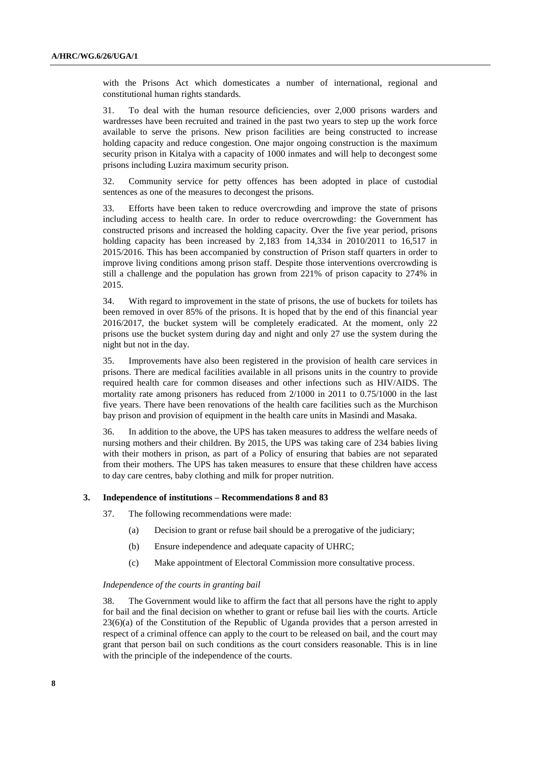with the Prisons Act which domesticates a number of international, regional and constitutional human rights standards.

31. To deal with the human resource deficiencies, over 2,000 prisons warders and wardresses have been recruited and trained in the past two years to step up the work force available to serve the prisons. New prison facilities are being constructed to increase holding capacity and reduce congestion. One major ongoing construction is the maximum security prison in Kitalya with a capacity of 1000 inmates and will help to decongest some prisons including Luzira maximum security prison.

32. Community service for petty offences has been adopted in place of custodial sentences as one of the measures to decongest the prisons.

33. Efforts have been taken to reduce overcrowding and improve the state of prisons including access to health care. In order to reduce overcrowding: the Government has constructed prisons and increased the holding capacity. Over the five year period, prisons holding capacity has been increased by 2,183 from 14,334 in 2010/2011 to 16,517 in 2015/2016. This has been accompanied by construction of Prison staff quarters in order to improve living conditions among prison staff. Despite those interventions overcrowding is still a challenge and the population has grown from 221% of prison capacity to 274% in 2015.

34. With regard to improvement in the state of prisons, the use of buckets for toilets has been removed in over 85% of the prisons. It is hoped that by the end of this financial year 2016/2017, the bucket system will be completely eradicated. At the moment, only 22 prisons use the bucket system during day and night and only 27 use the system during the night but not in the day.

35. Improvements have also been registered in the provision of health care services in prisons. There are medical facilities available in all prisons units in the country to provide required health care for common diseases and other infections such as HIV/AIDS. The mortality rate among prisoners has reduced from 2/1000 in 2011 to 0.75/1000 in the last five years. There have been renovations of the health care facilities such as the Murchison bay prison and provision of equipment in the health care units in Masindi and Masaka.

36. In addition to the above, the UPS has taken measures to address the welfare needs of nursing mothers and their children. By 2015, the UPS was taking care of 234 babies living with their mothers in prison, as part of a Policy of ensuring that babies are not separated from their mothers. The UPS has taken measures to ensure that these children have access to day care centres, baby clothing and milk for proper nutrition.

#### **3. Independence of institutions – Recommendations 8 and 83**

37. The following recommendations were made:

- (a) Decision to grant or refuse bail should be a prerogative of the judiciary;
- (b) Ensure independence and adequate capacity of UHRC;
- (c) Make appointment of Electoral Commission more consultative process.

#### *Independence of the courts in granting bail*

38. The Government would like to affirm the fact that all persons have the right to apply for bail and the final decision on whether to grant or refuse bail lies with the courts. Article 23(6)(a) of the Constitution of the Republic of Uganda provides that a person arrested in respect of a criminal offence can apply to the court to be released on bail, and the court may grant that person bail on such conditions as the court considers reasonable. This is in line with the principle of the independence of the courts.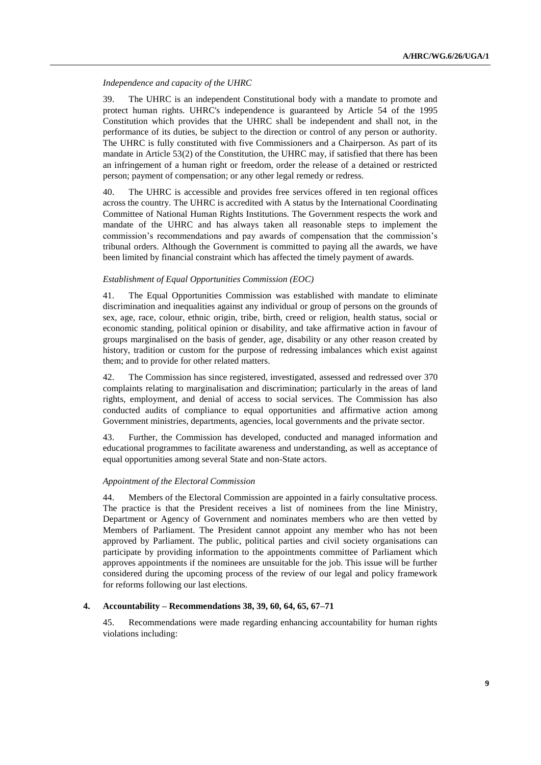### *Independence and capacity of the UHRC*

39. The UHRC is an independent Constitutional body with a mandate to promote and protect human rights. UHRC's independence is guaranteed by Article 54 of the 1995 Constitution which provides that the UHRC shall be independent and shall not, in the performance of its duties, be subject to the direction or control of any person or authority. The UHRC is fully constituted with five Commissioners and a Chairperson. As part of its mandate in Article 53(2) of the Constitution, the UHRC may, if satisfied that there has been an infringement of a human right or freedom, order the release of a detained or restricted person; payment of compensation; or any other legal remedy or redress.

40. The UHRC is accessible and provides free services offered in ten regional offices across the country. The UHRC is accredited with A status by the International Coordinating Committee of National Human Rights Institutions. The Government respects the work and mandate of the UHRC and has always taken all reasonable steps to implement the commission's recommendations and pay awards of compensation that the commission's tribunal orders. Although the Government is committed to paying all the awards, we have been limited by financial constraint which has affected the timely payment of awards.

### *Establishment of Equal Opportunities Commission (EOC)*

41. The Equal Opportunities Commission was established with mandate to eliminate discrimination and inequalities against any individual or group of persons on the grounds of sex, age, race, colour, ethnic origin, tribe, birth, creed or religion, health status, social or economic standing, political opinion or disability, and take affirmative action in favour of groups marginalised on the basis of gender, age, disability or any other reason created by history, tradition or custom for the purpose of redressing imbalances which exist against them; and to provide for other related matters.

42. The Commission has since registered, investigated, assessed and redressed over 370 complaints relating to marginalisation and discrimination; particularly in the areas of land rights, employment, and denial of access to social services. The Commission has also conducted audits of compliance to equal opportunities and affirmative action among Government ministries, departments, agencies, local governments and the private sector.

43. Further, the Commission has developed, conducted and managed information and educational programmes to facilitate awareness and understanding, as well as acceptance of equal opportunities among several State and non-State actors.

#### *Appointment of the Electoral Commission*

44. Members of the Electoral Commission are appointed in a fairly consultative process. The practice is that the President receives a list of nominees from the line Ministry, Department or Agency of Government and nominates members who are then vetted by Members of Parliament. The President cannot appoint any member who has not been approved by Parliament. The public, political parties and civil society organisations can participate by providing information to the appointments committee of Parliament which approves appointments if the nominees are unsuitable for the job. This issue will be further considered during the upcoming process of the review of our legal and policy framework for reforms following our last elections.

#### **4. Accountability – Recommendations 38, 39, 60, 64, 65, 67–71**

45. Recommendations were made regarding enhancing accountability for human rights violations including: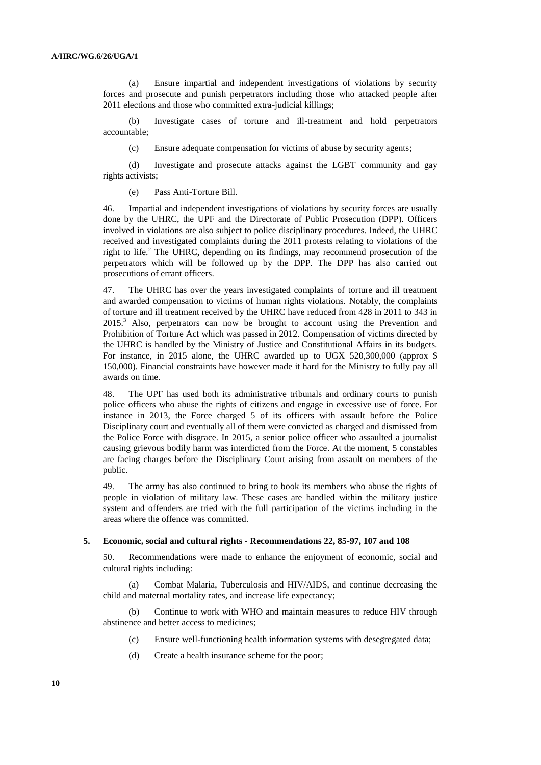(a) Ensure impartial and independent investigations of violations by security forces and prosecute and punish perpetrators including those who attacked people after 2011 elections and those who committed extra-judicial killings;

(b) Investigate cases of torture and ill-treatment and hold perpetrators accountable;

(c) Ensure adequate compensation for victims of abuse by security agents;

(d) Investigate and prosecute attacks against the LGBT community and gay rights activists;

(e) Pass Anti-Torture Bill.

46. Impartial and independent investigations of violations by security forces are usually done by the UHRC, the UPF and the Directorate of Public Prosecution (DPP). Officers involved in violations are also subject to police disciplinary procedures. Indeed, the UHRC received and investigated complaints during the 2011 protests relating to violations of the right to life. $^2$  The UHRC, depending on its findings, may recommend prosecution of the perpetrators which will be followed up by the DPP. The DPP has also carried out prosecutions of errant officers.

47. The UHRC has over the years investigated complaints of torture and ill treatment and awarded compensation to victims of human rights violations. Notably, the complaints of torture and ill treatment received by the UHRC have reduced from 428 in 2011 to 343 in 2015.<sup>3</sup> Also, perpetrators can now be brought to account using the Prevention and Prohibition of Torture Act which was passed in 2012. Compensation of victims directed by the UHRC is handled by the Ministry of Justice and Constitutional Affairs in its budgets. For instance, in 2015 alone, the UHRC awarded up to UGX 520,300,000 (approx \$ 150,000). Financial constraints have however made it hard for the Ministry to fully pay all awards on time.

48. The UPF has used both its administrative tribunals and ordinary courts to punish police officers who abuse the rights of citizens and engage in excessive use of force. For instance in 2013, the Force charged 5 of its officers with assault before the Police Disciplinary court and eventually all of them were convicted as charged and dismissed from the Police Force with disgrace. In 2015, a senior police officer who assaulted a journalist causing grievous bodily harm was interdicted from the Force. At the moment, 5 constables are facing charges before the Disciplinary Court arising from assault on members of the public.

49. The army has also continued to bring to book its members who abuse the rights of people in violation of military law. These cases are handled within the military justice system and offenders are tried with the full participation of the victims including in the areas where the offence was committed.

#### **5. Economic, social and cultural rights - Recommendations 22, 85-97, 107 and 108**

50. Recommendations were made to enhance the enjoyment of economic, social and cultural rights including:

(a) Combat Malaria, Tuberculosis and HIV/AIDS, and continue decreasing the child and maternal mortality rates, and increase life expectancy;

(b) Continue to work with WHO and maintain measures to reduce HIV through abstinence and better access to medicines;

- (c) Ensure well-functioning health information systems with desegregated data;
- (d) Create a health insurance scheme for the poor;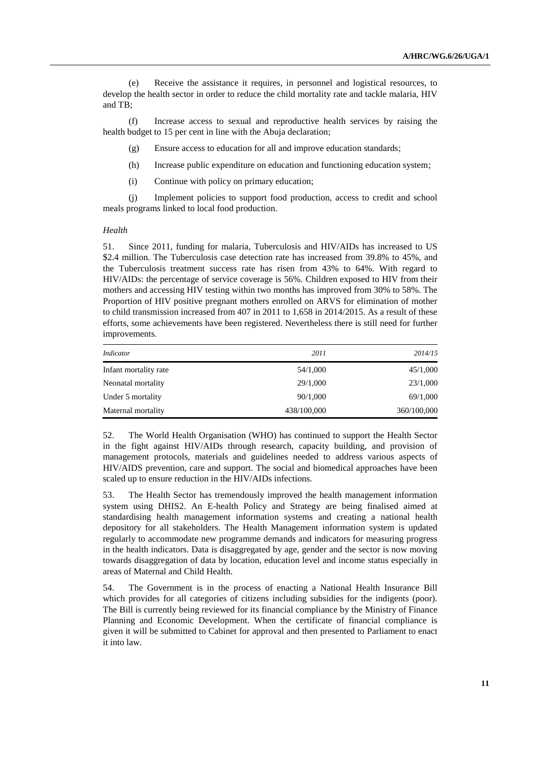(e) Receive the assistance it requires, in personnel and logistical resources, to develop the health sector in order to reduce the child mortality rate and tackle malaria, HIV and TB;

(f) Increase access to sexual and reproductive health services by raising the health budget to 15 per cent in line with the Abuja declaration;

(g) Ensure access to education for all and improve education standards;

(h) Increase public expenditure on education and functioning education system;

(i) Continue with policy on primary education;

(j) Implement policies to support food production, access to credit and school meals programs linked to local food production.

#### *Health*

51. Since 2011, funding for malaria, Tuberculosis and HIV/AIDs has increased to US \$2.4 million. The Tuberculosis case detection rate has increased from 39.8% to 45%, and the Tuberculosis treatment success rate has risen from 43% to 64%. With regard to HIV/AIDs: the percentage of service coverage is 56%. Children exposed to HIV from their mothers and accessing HIV testing within two months has improved from 30% to 58%. The Proportion of HIV positive pregnant mothers enrolled on ARVS for elimination of mother to child transmission increased from 407 in 2011 to 1,658 in 2014/2015. As a result of these efforts, some achievements have been registered. Nevertheless there is still need for further improvements.

| Indicator             | 2011        | 2014/15     |
|-----------------------|-------------|-------------|
| Infant mortality rate | 54/1,000    | 45/1,000    |
| Neonatal mortality    | 29/1,000    | 23/1,000    |
| Under 5 mortality     | 90/1,000    | 69/1,000    |
| Maternal mortality    | 438/100,000 | 360/100,000 |

52. The World Health Organisation (WHO) has continued to support the Health Sector in the fight against HIV/AIDs through research, capacity building, and provision of management protocols, materials and guidelines needed to address various aspects of HIV/AIDS prevention, care and support. The social and biomedical approaches have been scaled up to ensure reduction in the HIV/AIDs infections.

53. The Health Sector has tremendously improved the health management information system using DHIS2. An E-health Policy and Strategy are being finalised aimed at standardising health management information systems and creating a national health depository for all stakeholders. The Health Management information system is updated regularly to accommodate new programme demands and indicators for measuring progress in the health indicators. Data is disaggregated by age, gender and the sector is now moving towards disaggregation of data by location, education level and income status especially in areas of Maternal and Child Health.

54. The Government is in the process of enacting a National Health Insurance Bill which provides for all categories of citizens including subsidies for the indigents (poor). The Bill is currently being reviewed for its financial compliance by the Ministry of Finance Planning and Economic Development. When the certificate of financial compliance is given it will be submitted to Cabinet for approval and then presented to Parliament to enact it into law.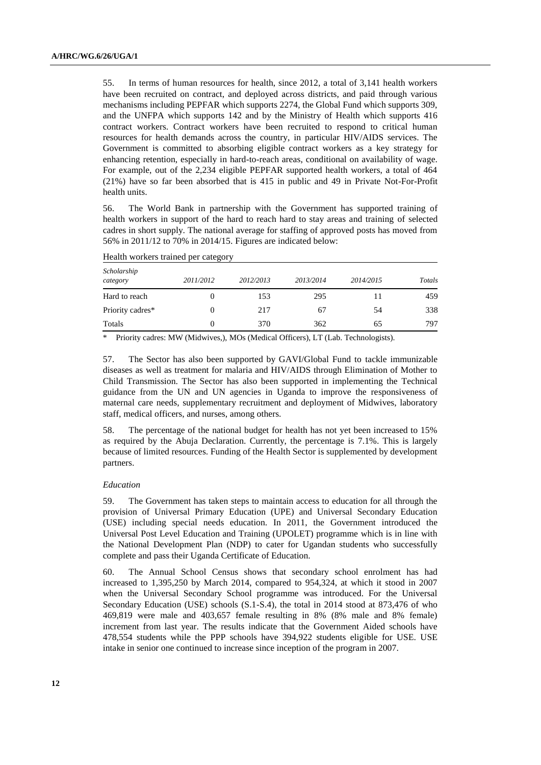55. In terms of human resources for health, since 2012, a total of 3,141 health workers have been recruited on contract, and deployed across districts, and paid through various mechanisms including PEPFAR which supports 2274, the Global Fund which supports 309, and the UNFPA which supports 142 and by the Ministry of Health which supports 416 contract workers. Contract workers have been recruited to respond to critical human resources for health demands across the country, in particular HIV/AIDS services. The Government is committed to absorbing eligible contract workers as a key strategy for enhancing retention, especially in hard-to-reach areas, conditional on availability of wage. For example, out of the 2,234 eligible PEPFAR supported health workers, a total of 464 (21%) have so far been absorbed that is 415 in public and 49 in Private Not-For-Profit health units.

56. The World Bank in partnership with the Government has supported training of health workers in support of the hard to reach hard to stay areas and training of selected cadres in short supply. The national average for staffing of approved posts has moved from 56% in 2011/12 to 70% in 2014/15. Figures are indicated below:

| Scholarship<br>category | 2011/2012 | 2012/2013 | 2013/2014 | 2014/2015 | Totals |
|-------------------------|-----------|-----------|-----------|-----------|--------|
| Hard to reach           | $_{0}$    | 153       | 295       | 11        | 459    |
| Priority cadres*        | 0         | 217       | 67        | 54        | 338    |
| Totals                  | 0         | 370       | 362       | 65        | 797    |

Health workers trained per category

\* Priority cadres: MW (Midwives,), MOs (Medical Officers), LT (Lab. Technologists).

57. The Sector has also been supported by GAVI/Global Fund to tackle immunizable diseases as well as treatment for malaria and HIV/AIDS through Elimination of Mother to Child Transmission. The Sector has also been supported in implementing the Technical guidance from the UN and UN agencies in Uganda to improve the responsiveness of maternal care needs, supplementary recruitment and deployment of Midwives, laboratory staff, medical officers, and nurses, among others.

58. The percentage of the national budget for health has not yet been increased to 15% as required by the Abuja Declaration. Currently, the percentage is 7.1%. This is largely because of limited resources. Funding of the Health Sector is supplemented by development partners.

#### *Education*

59. The Government has taken steps to maintain access to education for all through the provision of Universal Primary Education (UPE) and Universal Secondary Education (USE) including special needs education. In 2011, the Government introduced the Universal Post Level Education and Training (UPOLET) programme which is in line with the National Development Plan (NDP) to cater for Ugandan students who successfully complete and pass their Uganda Certificate of Education.

60. The Annual School Census shows that secondary school enrolment has had increased to 1,395,250 by March 2014, compared to 954,324, at which it stood in 2007 when the Universal Secondary School programme was introduced. For the Universal Secondary Education (USE) schools (S.1-S.4), the total in 2014 stood at 873,476 of who 469,819 were male and 403,657 female resulting in 8% (8% male and 8% female) increment from last year. The results indicate that the Government Aided schools have 478,554 students while the PPP schools have 394,922 students eligible for USE. USE intake in senior one continued to increase since inception of the program in 2007.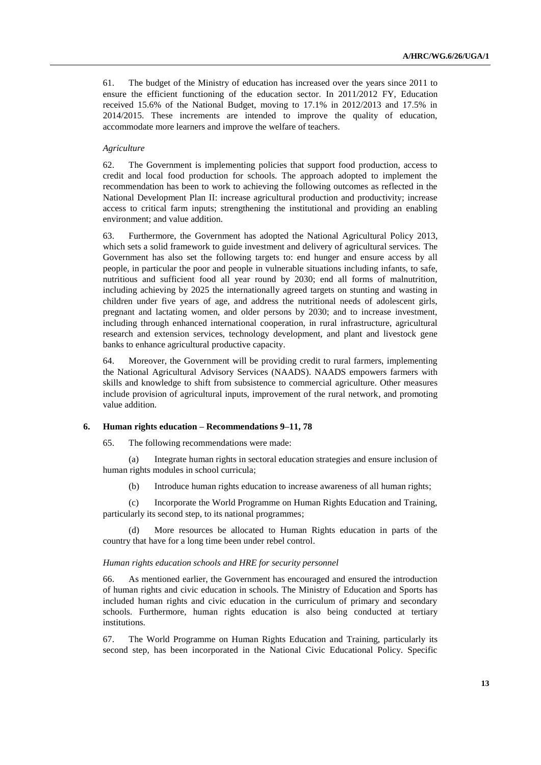61. The budget of the Ministry of education has increased over the years since 2011 to ensure the efficient functioning of the education sector. In 2011/2012 FY, Education received 15.6% of the National Budget, moving to 17.1% in 2012/2013 and 17.5% in 2014/2015. These increments are intended to improve the quality of education, accommodate more learners and improve the welfare of teachers.

### *Agriculture*

62. The Government is implementing policies that support food production, access to credit and local food production for schools. The approach adopted to implement the recommendation has been to work to achieving the following outcomes as reflected in the National Development Plan II: increase agricultural production and productivity; increase access to critical farm inputs; strengthening the institutional and providing an enabling environment; and value addition.

63. Furthermore, the Government has adopted the National Agricultural Policy 2013, which sets a solid framework to guide investment and delivery of agricultural services. The Government has also set the following targets to: end hunger and ensure access by all people, in particular the poor and people in vulnerable situations including infants, to safe, nutritious and sufficient food all year round by 2030; end all forms of malnutrition, including achieving by 2025 the internationally agreed targets on stunting and wasting in children under five years of age, and address the nutritional needs of adolescent girls, pregnant and lactating women, and older persons by 2030; and to increase investment, including through enhanced international cooperation, in rural infrastructure, agricultural research and extension services, technology development, and plant and livestock gene banks to enhance agricultural productive capacity.

64. Moreover, the Government will be providing credit to rural farmers, implementing the National Agricultural Advisory Services (NAADS). NAADS empowers farmers with skills and knowledge to shift from subsistence to commercial agriculture. Other measures include provision of agricultural inputs, improvement of the rural network, and promoting value addition.

# **6. Human rights education – Recommendations 9–11, 78**

65. The following recommendations were made:

(a) Integrate human rights in sectoral education strategies and ensure inclusion of human rights modules in school curricula;

(b) Introduce human rights education to increase awareness of all human rights;

(c) Incorporate the World Programme on Human Rights Education and Training, particularly its second step, to its national programmes;

(d) More resources be allocated to Human Rights education in parts of the country that have for a long time been under rebel control.

#### *Human rights education schools and HRE for security personnel*

66. As mentioned earlier, the Government has encouraged and ensured the introduction of human rights and civic education in schools. The Ministry of Education and Sports has included human rights and civic education in the curriculum of primary and secondary schools. Furthermore, human rights education is also being conducted at tertiary institutions.

67. The World Programme on Human Rights Education and Training, particularly its second step, has been incorporated in the National Civic Educational Policy. Specific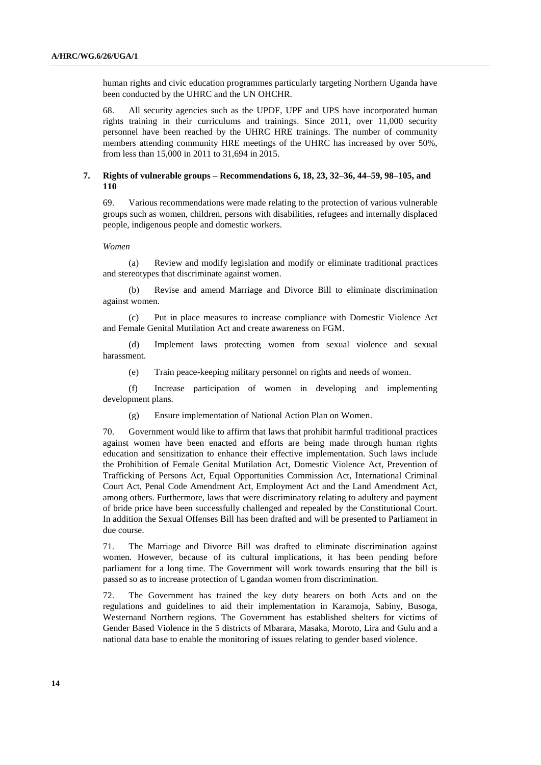human rights and civic education programmes particularly targeting Northern Uganda have been conducted by the UHRC and the UN OHCHR.

68. All security agencies such as the UPDF, UPF and UPS have incorporated human rights training in their curriculums and trainings. Since 2011, over 11,000 security personnel have been reached by the UHRC HRE trainings. The number of community members attending community HRE meetings of the UHRC has increased by over 50%, from less than 15,000 in 2011 to 31,694 in 2015.

## **7. Rights of vulnerable groups – Recommendations 6, 18, 23, 32–36, 44–59, 98–105, and 110**

69. Various recommendations were made relating to the protection of various vulnerable groups such as women, children, persons with disabilities, refugees and internally displaced people, indigenous people and domestic workers.

*Women*

(a) Review and modify legislation and modify or eliminate traditional practices and stereotypes that discriminate against women.

(b) Revise and amend Marriage and Divorce Bill to eliminate discrimination against women.

(c) Put in place measures to increase compliance with Domestic Violence Act and Female Genital Mutilation Act and create awareness on FGM.

(d) Implement laws protecting women from sexual violence and sexual harassment.

(e) Train peace-keeping military personnel on rights and needs of women.

(f) Increase participation of women in developing and implementing development plans.

(g) Ensure implementation of National Action Plan on Women.

70. Government would like to affirm that laws that prohibit harmful traditional practices against women have been enacted and efforts are being made through human rights education and sensitization to enhance their effective implementation. Such laws include the Prohibition of Female Genital Mutilation Act, Domestic Violence Act, Prevention of Trafficking of Persons Act, Equal Opportunities Commission Act, International Criminal Court Act, Penal Code Amendment Act, Employment Act and the Land Amendment Act, among others. Furthermore, laws that were discriminatory relating to adultery and payment of bride price have been successfully challenged and repealed by the Constitutional Court. In addition the Sexual Offenses Bill has been drafted and will be presented to Parliament in due course.

71. The Marriage and Divorce Bill was drafted to eliminate discrimination against women. However, because of its cultural implications, it has been pending before parliament for a long time. The Government will work towards ensuring that the bill is passed so as to increase protection of Ugandan women from discrimination.

72. The Government has trained the key duty bearers on both Acts and on the regulations and guidelines to aid their implementation in Karamoja, Sabiny, Busoga, Westernand Northern regions. The Government has established shelters for victims of Gender Based Violence in the 5 districts of Mbarara, Masaka, Moroto, Lira and Gulu and a national data base to enable the monitoring of issues relating to gender based violence.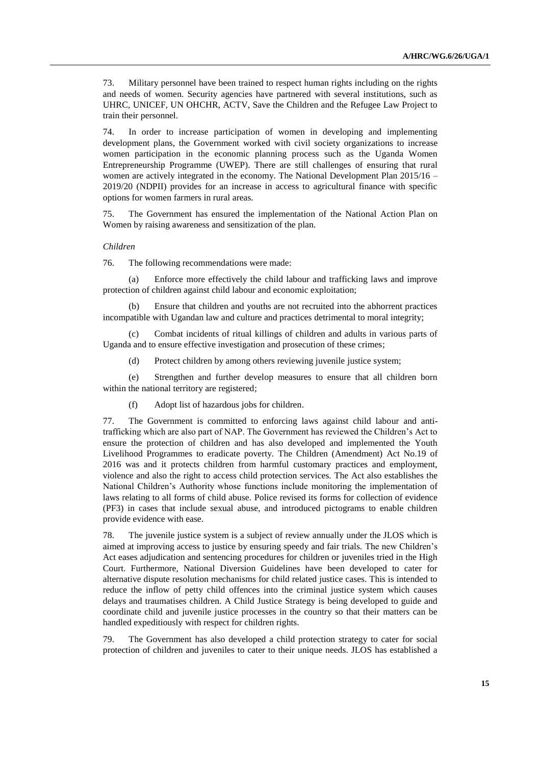73. Military personnel have been trained to respect human rights including on the rights and needs of women. Security agencies have partnered with several institutions, such as UHRC, UNICEF, UN OHCHR, ACTV, Save the Children and the Refugee Law Project to train their personnel.

74. In order to increase participation of women in developing and implementing development plans, the Government worked with civil society organizations to increase women participation in the economic planning process such as the Uganda Women Entrepreneurship Programme (UWEP). There are still challenges of ensuring that rural women are actively integrated in the economy. The National Development Plan 2015/16 – 2019/20 (NDPII) provides for an increase in access to agricultural finance with specific options for women farmers in rural areas.

75. The Government has ensured the implementation of the National Action Plan on Women by raising awareness and sensitization of the plan.

#### *Children*

76. The following recommendations were made:

(a) Enforce more effectively the child labour and trafficking laws and improve protection of children against child labour and economic exploitation;

(b) Ensure that children and youths are not recruited into the abhorrent practices incompatible with Ugandan law and culture and practices detrimental to moral integrity;

(c) Combat incidents of ritual killings of children and adults in various parts of Uganda and to ensure effective investigation and prosecution of these crimes;

(d) Protect children by among others reviewing juvenile justice system;

(e) Strengthen and further develop measures to ensure that all children born within the national territory are registered;

(f) Adopt list of hazardous jobs for children.

77. The Government is committed to enforcing laws against child labour and antitrafficking which are also part of NAP. The Government has reviewed the Children's Act to ensure the protection of children and has also developed and implemented the Youth Livelihood Programmes to eradicate poverty. The Children (Amendment) Act No.19 of 2016 was and it protects children from harmful customary practices and employment, violence and also the right to access child protection services. The Act also establishes the National Children's Authority whose functions include monitoring the implementation of laws relating to all forms of child abuse. Police revised its forms for collection of evidence (PF3) in cases that include sexual abuse, and introduced pictograms to enable children provide evidence with ease.

78. The juvenile justice system is a subject of review annually under the JLOS which is aimed at improving access to justice by ensuring speedy and fair trials. The new Children's Act eases adjudication and sentencing procedures for children or juveniles tried in the High Court. Furthermore, National Diversion Guidelines have been developed to cater for alternative dispute resolution mechanisms for child related justice cases. This is intended to reduce the inflow of petty child offences into the criminal justice system which causes delays and traumatises children. A Child Justice Strategy is being developed to guide and coordinate child and juvenile justice processes in the country so that their matters can be handled expeditiously with respect for children rights.

79. The Government has also developed a child protection strategy to cater for social protection of children and juveniles to cater to their unique needs. JLOS has established a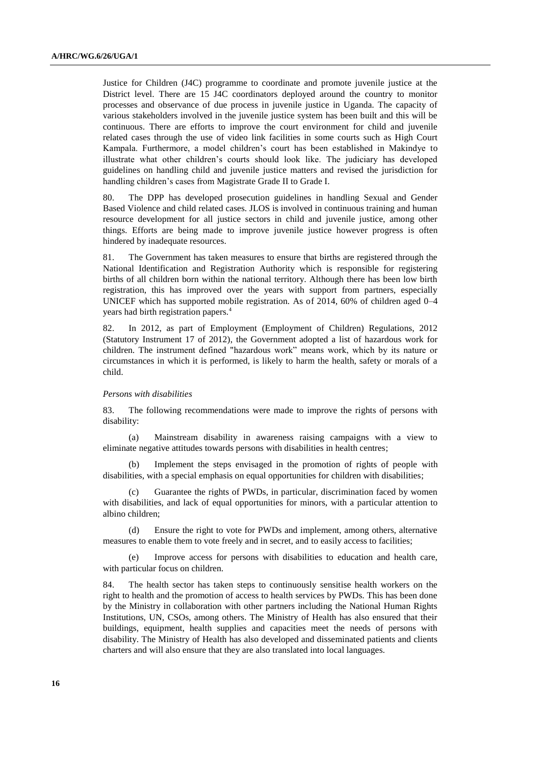Justice for Children (J4C) programme to coordinate and promote juvenile justice at the District level. There are 15 J4C coordinators deployed around the country to monitor processes and observance of due process in juvenile justice in Uganda. The capacity of various stakeholders involved in the juvenile justice system has been built and this will be continuous. There are efforts to improve the court environment for child and juvenile related cases through the use of video link facilities in some courts such as High Court Kampala. Furthermore, a model children's court has been established in Makindye to illustrate what other children's courts should look like. The judiciary has developed guidelines on handling child and juvenile justice matters and revised the jurisdiction for handling children's cases from Magistrate Grade II to Grade I.

80. The DPP has developed prosecution guidelines in handling Sexual and Gender Based Violence and child related cases. JLOS is involved in continuous training and human resource development for all justice sectors in child and juvenile justice, among other things. Efforts are being made to improve juvenile justice however progress is often hindered by inadequate resources.

81. The Government has taken measures to ensure that births are registered through the National Identification and Registration Authority which is responsible for registering births of all children born within the national territory. Although there has been low birth registration, this has improved over the years with support from partners, especially UNICEF which has supported mobile registration. As of 2014, 60% of children aged 0–4 years had birth registration papers.<sup>4</sup>

82. In 2012, as part of Employment (Employment of Children) Regulations, 2012 (Statutory Instrument 17 of 2012), the Government adopted a list of hazardous work for children. The instrument defined "hazardous work" means work, which by its nature or circumstances in which it is performed, is likely to harm the health, safety or morals of a child.

#### *Persons with disabilities*

83. The following recommendations were made to improve the rights of persons with disability:

(a) Mainstream disability in awareness raising campaigns with a view to eliminate negative attitudes towards persons with disabilities in health centres;

(b) Implement the steps envisaged in the promotion of rights of people with disabilities, with a special emphasis on equal opportunities for children with disabilities;

(c) Guarantee the rights of PWDs, in particular, discrimination faced by women with disabilities, and lack of equal opportunities for minors, with a particular attention to albino children;

(d) Ensure the right to vote for PWDs and implement, among others, alternative measures to enable them to vote freely and in secret, and to easily access to facilities;

(e) Improve access for persons with disabilities to education and health care, with particular focus on children.

84. The health sector has taken steps to continuously sensitise health workers on the right to health and the promotion of access to health services by PWDs. This has been done by the Ministry in collaboration with other partners including the National Human Rights Institutions, UN, CSOs, among others. The Ministry of Health has also ensured that their buildings, equipment, health supplies and capacities meet the needs of persons with disability. The Ministry of Health has also developed and disseminated patients and clients charters and will also ensure that they are also translated into local languages.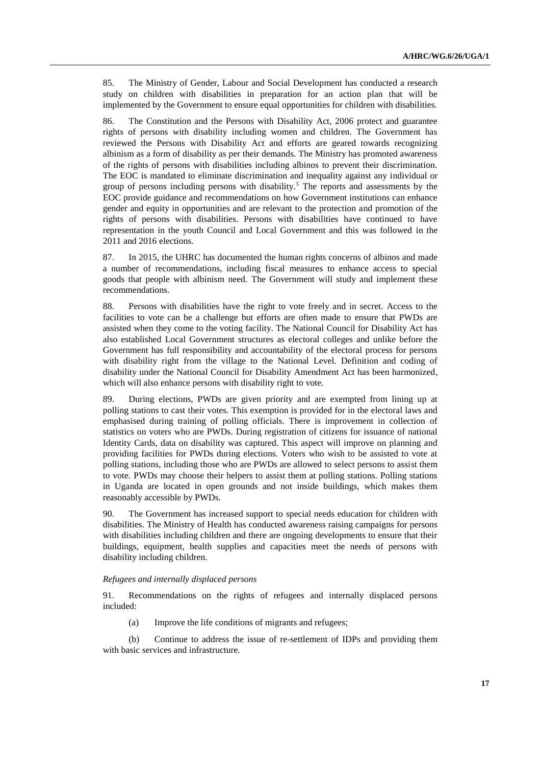85. The Ministry of Gender, Labour and Social Development has conducted a research study on children with disabilities in preparation for an action plan that will be implemented by the Government to ensure equal opportunities for children with disabilities.

86. The Constitution and the Persons with Disability Act, 2006 protect and guarantee rights of persons with disability including women and children. The Government has reviewed the Persons with Disability Act and efforts are geared towards recognizing albinism as a form of disability as per their demands. The Ministry has promoted awareness of the rights of persons with disabilities including albinos to prevent their discrimination. The EOC is mandated to eliminate discrimination and inequality against any individual or group of persons including persons with disability.<sup>5</sup> The reports and assessments by the EOC provide guidance and recommendations on how Government institutions can enhance gender and equity in opportunities and are relevant to the protection and promotion of the rights of persons with disabilities. Persons with disabilities have continued to have representation in the youth Council and Local Government and this was followed in the 2011 and 2016 elections.

87. In 2015, the UHRC has documented the human rights concerns of albinos and made a number of recommendations, including fiscal measures to enhance access to special goods that people with albinism need. The Government will study and implement these recommendations.

88. Persons with disabilities have the right to vote freely and in secret. Access to the facilities to vote can be a challenge but efforts are often made to ensure that PWDs are assisted when they come to the voting facility. The National Council for Disability Act has also established Local Government structures as electoral colleges and unlike before the Government has full responsibility and accountability of the electoral process for persons with disability right from the village to the National Level. Definition and coding of disability under the National Council for Disability Amendment Act has been harmonized, which will also enhance persons with disability right to vote.

89. During elections, PWDs are given priority and are exempted from lining up at polling stations to cast their votes. This exemption is provided for in the electoral laws and emphasised during training of polling officials. There is improvement in collection of statistics on voters who are PWDs. During registration of citizens for issuance of national Identity Cards, data on disability was captured. This aspect will improve on planning and providing facilities for PWDs during elections. Voters who wish to be assisted to vote at polling stations, including those who are PWDs are allowed to select persons to assist them to vote. PWDs may choose their helpers to assist them at polling stations. Polling stations in Uganda are located in open grounds and not inside buildings, which makes them reasonably accessible by PWDs.

90. The Government has increased support to special needs education for children with disabilities. The Ministry of Health has conducted awareness raising campaigns for persons with disabilities including children and there are ongoing developments to ensure that their buildings, equipment, health supplies and capacities meet the needs of persons with disability including children.

#### *Refugees and internally displaced persons*

91. Recommendations on the rights of refugees and internally displaced persons included:

(a) Improve the life conditions of migrants and refugees;

(b) Continue to address the issue of re-settlement of IDPs and providing them with basic services and infrastructure.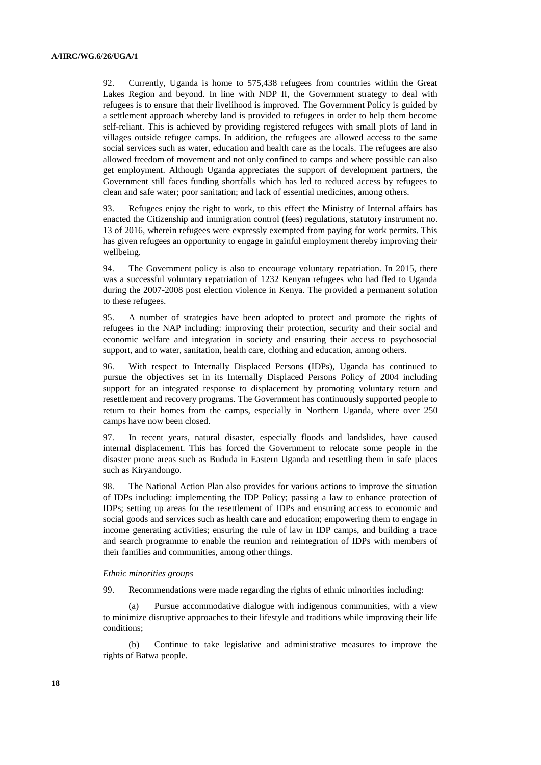92. Currently, Uganda is home to 575,438 refugees from countries within the Great Lakes Region and beyond. In line with NDP II, the Government strategy to deal with refugees is to ensure that their livelihood is improved. The Government Policy is guided by a settlement approach whereby land is provided to refugees in order to help them become self-reliant. This is achieved by providing registered refugees with small plots of land in villages outside refugee camps. In addition, the refugees are allowed access to the same social services such as water, education and health care as the locals. The refugees are also allowed freedom of movement and not only confined to camps and where possible can also get employment. Although Uganda appreciates the support of development partners, the Government still faces funding shortfalls which has led to reduced access by refugees to clean and safe water; poor sanitation; and lack of essential medicines, among others.

93. Refugees enjoy the right to work, to this effect the Ministry of Internal affairs has enacted the Citizenship and immigration control (fees) regulations, statutory instrument no. 13 of 2016, wherein refugees were expressly exempted from paying for work permits. This has given refugees an opportunity to engage in gainful employment thereby improving their wellbeing.

94. The Government policy is also to encourage voluntary repatriation. In 2015, there was a successful voluntary repatriation of 1232 Kenyan refugees who had fled to Uganda during the 2007-2008 post election violence in Kenya. The provided a permanent solution to these refugees.

95. A number of strategies have been adopted to protect and promote the rights of refugees in the NAP including: improving their protection, security and their social and economic welfare and integration in society and ensuring their access to psychosocial support, and to water, sanitation, health care, clothing and education, among others.

96. With respect to Internally Displaced Persons (IDPs), Uganda has continued to pursue the objectives set in its Internally Displaced Persons Policy of 2004 including support for an integrated response to displacement by promoting voluntary return and resettlement and recovery programs. The Government has continuously supported people to return to their homes from the camps, especially in Northern Uganda, where over 250 camps have now been closed.

97. In recent years, natural disaster, especially floods and landslides, have caused internal displacement. This has forced the Government to relocate some people in the disaster prone areas such as Bududa in Eastern Uganda and resettling them in safe places such as Kiryandongo.

98. The National Action Plan also provides for various actions to improve the situation of IDPs including: implementing the IDP Policy; passing a law to enhance protection of IDPs; setting up areas for the resettlement of IDPs and ensuring access to economic and social goods and services such as health care and education; empowering them to engage in income generating activities; ensuring the rule of law in IDP camps, and building a trace and search programme to enable the reunion and reintegration of IDPs with members of their families and communities, among other things.

#### *Ethnic minorities groups*

99. Recommendations were made regarding the rights of ethnic minorities including:

(a) Pursue accommodative dialogue with indigenous communities, with a view to minimize disruptive approaches to their lifestyle and traditions while improving their life conditions;

(b) Continue to take legislative and administrative measures to improve the rights of Batwa people.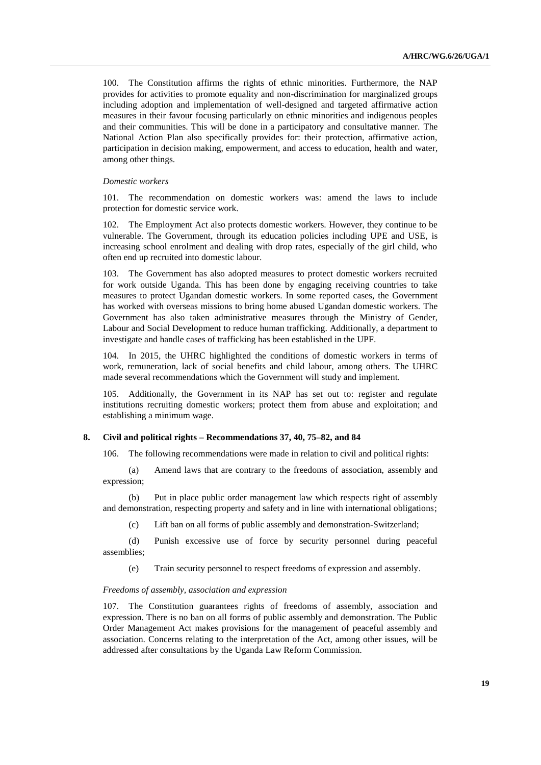100. The Constitution affirms the rights of ethnic minorities. Furthermore, the NAP provides for activities to promote equality and non-discrimination for marginalized groups including adoption and implementation of well-designed and targeted affirmative action measures in their favour focusing particularly on ethnic minorities and indigenous peoples and their communities. This will be done in a participatory and consultative manner. The National Action Plan also specifically provides for: their protection, affirmative action, participation in decision making, empowerment, and access to education, health and water, among other things.

#### *Domestic workers*

101. The recommendation on domestic workers was: amend the laws to include protection for domestic service work.

102. The Employment Act also protects domestic workers. However, they continue to be vulnerable. The Government, through its education policies including UPE and USE, is increasing school enrolment and dealing with drop rates, especially of the girl child, who often end up recruited into domestic labour.

103. The Government has also adopted measures to protect domestic workers recruited for work outside Uganda. This has been done by engaging receiving countries to take measures to protect Ugandan domestic workers. In some reported cases, the Government has worked with overseas missions to bring home abused Ugandan domestic workers. The Government has also taken administrative measures through the Ministry of Gender, Labour and Social Development to reduce human trafficking. Additionally, a department to investigate and handle cases of trafficking has been established in the UPF.

104. In 2015, the UHRC highlighted the conditions of domestic workers in terms of work, remuneration, lack of social benefits and child labour, among others. The UHRC made several recommendations which the Government will study and implement.

105. Additionally, the Government in its NAP has set out to: register and regulate institutions recruiting domestic workers; protect them from abuse and exploitation; and establishing a minimum wage.

#### **8. Civil and political rights – Recommendations 37, 40, 75–82, and 84**

106. The following recommendations were made in relation to civil and political rights:

(a) Amend laws that are contrary to the freedoms of association, assembly and expression;

(b) Put in place public order management law which respects right of assembly and demonstration, respecting property and safety and in line with international obligations;

(c) Lift ban on all forms of public assembly and demonstration-Switzerland;

(d) Punish excessive use of force by security personnel during peaceful assemblies;

(e) Train security personnel to respect freedoms of expression and assembly.

#### *Freedoms of assembly, association and expression*

107. The Constitution guarantees rights of freedoms of assembly, association and expression. There is no ban on all forms of public assembly and demonstration. The Public Order Management Act makes provisions for the management of peaceful assembly and association. Concerns relating to the interpretation of the Act, among other issues, will be addressed after consultations by the Uganda Law Reform Commission.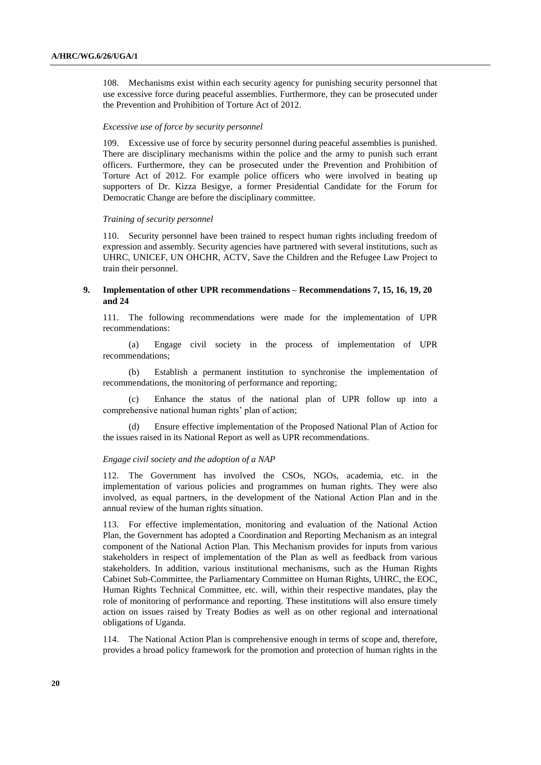108. Mechanisms exist within each security agency for punishing security personnel that use excessive force during peaceful assemblies. Furthermore, they can be prosecuted under the Prevention and Prohibition of Torture Act of 2012.

#### *Excessive use of force by security personnel*

109. Excessive use of force by security personnel during peaceful assemblies is punished. There are disciplinary mechanisms within the police and the army to punish such errant officers. Furthermore, they can be prosecuted under the Prevention and Prohibition of Torture Act of 2012. For example police officers who were involved in beating up supporters of Dr. Kizza Besigye, a former Presidential Candidate for the Forum for Democratic Change are before the disciplinary committee.

#### *Training of security personnel*

110. Security personnel have been trained to respect human rights including freedom of expression and assembly. Security agencies have partnered with several institutions, such as UHRC, UNICEF, UN OHCHR, ACTV, Save the Children and the Refugee Law Project to train their personnel.

### **9. Implementation of other UPR recommendations – Recommendations 7, 15, 16, 19, 20 and 24**

111. The following recommendations were made for the implementation of UPR recommendations:

(a) Engage civil society in the process of implementation of UPR recommendations;

(b) Establish a permanent institution to synchronise the implementation of recommendations, the monitoring of performance and reporting;

(c) Enhance the status of the national plan of UPR follow up into a comprehensive national human rights' plan of action;

Ensure effective implementation of the Proposed National Plan of Action for the issues raised in its National Report as well as UPR recommendations.

#### *Engage civil society and the adoption of a NAP*

112. The Government has involved the CSOs, NGOs, academia, etc. in the implementation of various policies and programmes on human rights. They were also involved, as equal partners, in the development of the National Action Plan and in the annual review of the human rights situation.

113. For effective implementation, monitoring and evaluation of the National Action Plan, the Government has adopted a Coordination and Reporting Mechanism as an integral component of the National Action Plan. This Mechanism provides for inputs from various stakeholders in respect of implementation of the Plan as well as feedback from various stakeholders. In addition, various institutional mechanisms, such as the Human Rights Cabinet Sub-Committee, the Parliamentary Committee on Human Rights, UHRC, the EOC, Human Rights Technical Committee, etc. will, within their respective mandates, play the role of monitoring of performance and reporting. These institutions will also ensure timely action on issues raised by Treaty Bodies as well as on other regional and international obligations of Uganda.

114. The National Action Plan is comprehensive enough in terms of scope and, therefore, provides a broad policy framework for the promotion and protection of human rights in the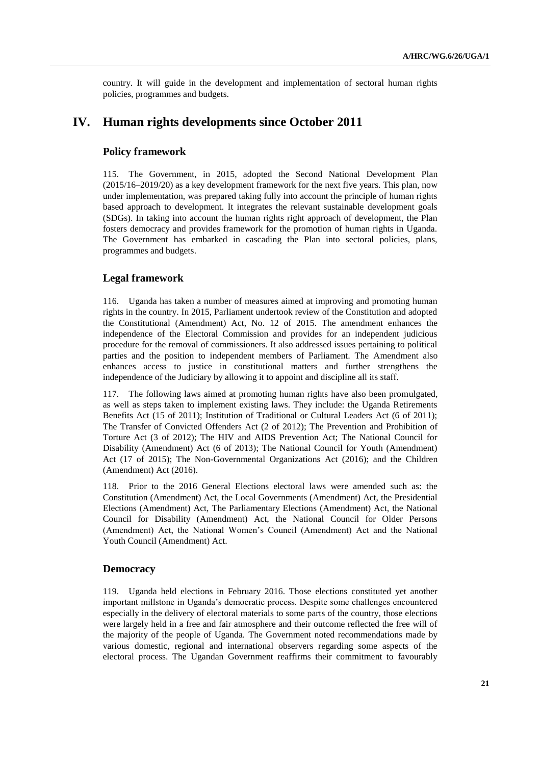country. It will guide in the development and implementation of sectoral human rights policies, programmes and budgets.

# **IV. Human rights developments since October 2011**

# **Policy framework**

115. The Government, in 2015, adopted the Second National Development Plan (2015/16–2019/20) as a key development framework for the next five years. This plan, now under implementation, was prepared taking fully into account the principle of human rights based approach to development. It integrates the relevant sustainable development goals (SDGs). In taking into account the human rights right approach of development, the Plan fosters democracy and provides framework for the promotion of human rights in Uganda. The Government has embarked in cascading the Plan into sectoral policies, plans, programmes and budgets.

# **Legal framework**

116. Uganda has taken a number of measures aimed at improving and promoting human rights in the country. In 2015, Parliament undertook review of the Constitution and adopted the Constitutional (Amendment) Act, No. 12 of 2015. The amendment enhances the independence of the Electoral Commission and provides for an independent judicious procedure for the removal of commissioners. It also addressed issues pertaining to political parties and the position to independent members of Parliament. The Amendment also enhances access to justice in constitutional matters and further strengthens the independence of the Judiciary by allowing it to appoint and discipline all its staff.

117. The following laws aimed at promoting human rights have also been promulgated, as well as steps taken to implement existing laws. They include: the Uganda Retirements Benefits Act (15 of 2011); Institution of Traditional or Cultural Leaders Act (6 of 2011); The Transfer of Convicted Offenders Act (2 of 2012); The Prevention and Prohibition of Torture Act (3 of 2012); The HIV and AIDS Prevention Act; The National Council for Disability (Amendment) Act (6 of 2013); The National Council for Youth (Amendment) Act (17 of 2015); The Non-Governmental Organizations Act (2016); and the Children (Amendment) Act (2016).

118. Prior to the 2016 General Elections electoral laws were amended such as: the Constitution (Amendment) Act, the Local Governments (Amendment) Act, the Presidential Elections (Amendment) Act, The Parliamentary Elections (Amendment) Act, the National Council for Disability (Amendment) Act, the National Council for Older Persons (Amendment) Act, the National Women's Council (Amendment) Act and the National Youth Council (Amendment) Act.

# **Democracy**

119. Uganda held elections in February 2016. Those elections constituted yet another important millstone in Uganda's democratic process. Despite some challenges encountered especially in the delivery of electoral materials to some parts of the country, those elections were largely held in a free and fair atmosphere and their outcome reflected the free will of the majority of the people of Uganda. The Government noted recommendations made by various domestic, regional and international observers regarding some aspects of the electoral process. The Ugandan Government reaffirms their commitment to favourably